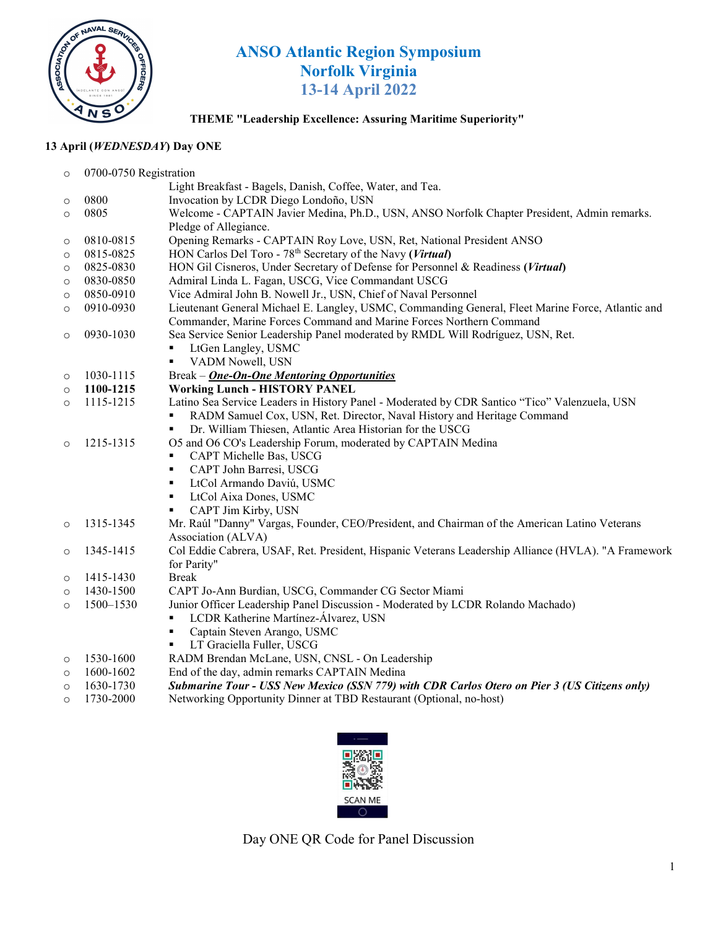

# ANSO Atlantic Region Symposium Norfolk Virginia 13-14 April 2022

### THEME "Leadership Excellence: Assuring Maritime Superiority"

## 13 April (WEDNESDAY) Day ONE

| $\circ$ | 0700-0750 Registration |                                                                                                                                           |  |
|---------|------------------------|-------------------------------------------------------------------------------------------------------------------------------------------|--|
|         |                        | Light Breakfast - Bagels, Danish, Coffee, Water, and Tea.                                                                                 |  |
| $\circ$ | 0800                   | Invocation by LCDR Diego Londoño, USN                                                                                                     |  |
| $\circ$ | 0805                   | Welcome - CAPTAIN Javier Medina, Ph.D., USN, ANSO Norfolk Chapter President, Admin remarks.                                               |  |
|         |                        | Pledge of Allegiance.                                                                                                                     |  |
| $\circ$ | 0810-0815              | Opening Remarks - CAPTAIN Roy Love, USN, Ret, National President ANSO                                                                     |  |
| $\circ$ | 0815-0825              | HON Carlos Del Toro - 78 <sup>th</sup> Secretary of the Navy (Virtual)                                                                    |  |
| $\circ$ | 0825-0830              | HON Gil Cisneros, Under Secretary of Defense for Personnel & Readiness (Virtual)                                                          |  |
| $\circ$ | 0830-0850              | Admiral Linda L. Fagan, USCG, Vice Commandant USCG                                                                                        |  |
| $\circ$ | 0850-0910              | Vice Admiral John B. Nowell Jr., USN, Chief of Naval Personnel                                                                            |  |
| $\circ$ | 0910-0930              | Lieutenant General Michael E. Langley, USMC, Commanding General, Fleet Marine Force, Atlantic and                                         |  |
|         |                        | Commander, Marine Forces Command and Marine Forces Northern Command                                                                       |  |
| $\circ$ | 0930-1030              | Sea Service Senior Leadership Panel moderated by RMDL Will Rodríguez, USN, Ret.                                                           |  |
|         |                        | LtGen Langley, USMC                                                                                                                       |  |
|         |                        | VADM Nowell, USN<br>٠                                                                                                                     |  |
| $\circ$ | 1030-1115              | Break - One-On-One Mentoring Opportunities                                                                                                |  |
| $\circ$ | 1100-1215              | <b>Working Lunch - HISTORY PANEL</b>                                                                                                      |  |
| $\circ$ | 1115-1215              | Latino Sea Service Leaders in History Panel - Moderated by CDR Santico "Tico" Valenzuela, USN                                             |  |
|         |                        | RADM Samuel Cox, USN, Ret. Director, Naval History and Heritage Command<br>٠                                                              |  |
|         |                        | Dr. William Thiesen, Atlantic Area Historian for the USCG<br>٠                                                                            |  |
| $\circ$ | 1215-1315              | O5 and O6 CO's Leadership Forum, moderated by CAPTAIN Medina                                                                              |  |
|         |                        | CAPT Michelle Bas, USCG<br>٠                                                                                                              |  |
|         |                        | CAPT John Barresi, USCG<br>٠                                                                                                              |  |
|         |                        | LtCol Armando Daviú, USMC<br>٠                                                                                                            |  |
|         |                        | LtCol Aixa Dones, USMC<br>٠                                                                                                               |  |
|         |                        | CAPT Jim Kirby, USN<br>٠                                                                                                                  |  |
| $\circ$ | 1315-1345              | Mr. Raúl "Danny" Vargas, Founder, CEO/President, and Chairman of the American Latino Veterans                                             |  |
|         |                        | Association (ALVA)                                                                                                                        |  |
| $\circ$ | 1345-1415              | Col Eddie Cabrera, USAF, Ret. President, Hispanic Veterans Leadership Alliance (HVLA). "A Framework                                       |  |
|         |                        | for Parity"<br><b>Break</b>                                                                                                               |  |
| $\circ$ | 1415-1430<br>1430-1500 |                                                                                                                                           |  |
| $\circ$ |                        | CAPT Jo-Ann Burdian, USCG, Commander CG Sector Miami                                                                                      |  |
| $\circ$ | 1500-1530              | Junior Officer Leadership Panel Discussion - Moderated by LCDR Rolando Machado)<br>LCDR Katherine Martínez-Álvarez, USN<br>$\blacksquare$ |  |
|         |                        | Captain Steven Arango, USMC<br>٠                                                                                                          |  |
|         |                        | LT Graciella Fuller, USCG<br>٠                                                                                                            |  |
|         | 1530-1600              | RADM Brendan McLane, USN, CNSL - On Leadership                                                                                            |  |
| $\circ$ | 1600-1602              | End of the day, admin remarks CAPTAIN Medina                                                                                              |  |
| $\circ$ | 1630-1730              | Submarine Tour - USS New Mexico (SSN 779) with CDR Carlos Otero on Pier 3 (US Citizens only)                                              |  |
| $\circ$ | 1730-2000              | Networking Opportunity Dinner at TBD Restaurant (Optional, no-host)                                                                       |  |
| $\circ$ |                        |                                                                                                                                           |  |



Day ONE QR Code for Panel Discussion